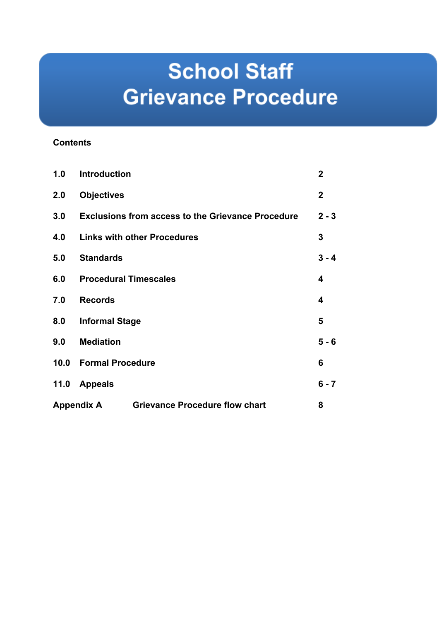# **School Staff Grievance Procedure**

# **Contents**

| 1.0                                                        | <b>Introduction</b>                                      | $\overline{2}$ |
|------------------------------------------------------------|----------------------------------------------------------|----------------|
| 2.0                                                        | <b>Objectives</b>                                        | $\mathbf 2$    |
| 3.0                                                        | <b>Exclusions from access to the Grievance Procedure</b> | $2 - 3$        |
| 4.0                                                        | <b>Links with other Procedures</b>                       | 3              |
| 5.0                                                        | <b>Standards</b>                                         | $3 - 4$        |
| 6.0                                                        | <b>Procedural Timescales</b>                             | 4              |
| 7.0                                                        | <b>Records</b>                                           | 4              |
| 8.0                                                        | <b>Informal Stage</b>                                    | 5              |
| 9.0                                                        | <b>Mediation</b>                                         | $5 - 6$        |
| 10.0                                                       | <b>Formal Procedure</b>                                  | 6              |
| 11.0                                                       | <b>Appeals</b>                                           | $6 - 7$        |
| <b>Appendix A</b><br><b>Grievance Procedure flow chart</b> |                                                          | 8              |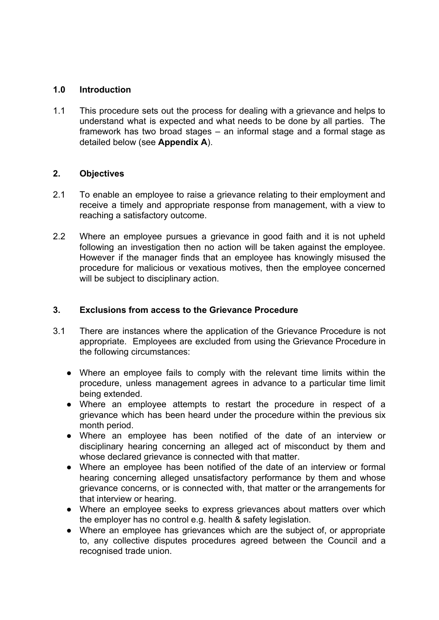## **1.0 Introduction**

1.1 This procedure sets out the process for dealing with a grievance and helps to understand what is expected and what needs to be done by all parties. The framework has two broad stages – an informal stage and a formal stage as detailed below (see **Appendix A**).

# **2. Objectives**

- 2.1 To enable an employee to raise a grievance relating to their employment and receive a timely and appropriate response from management, with a view to reaching a satisfactory outcome.
- 2.2 Where an employee pursues a grievance in good faith and it is not upheld following an investigation then no action will be taken against the employee. However if the manager finds that an employee has knowingly misused the procedure for malicious or vexatious motives, then the employee concerned will be subject to disciplinary action.

## **3. Exclusions from access to the Grievance Procedure**

- 3.1 There are instances where the application of the Grievance Procedure is not appropriate. Employees are excluded from using the Grievance Procedure in the following circumstances:
	- Where an employee fails to comply with the relevant time limits within the procedure, unless management agrees in advance to a particular time limit being extended.
	- Where an employee attempts to restart the procedure in respect of a grievance which has been heard under the procedure within the previous six month period.
	- Where an employee has been notified of the date of an interview or disciplinary hearing concerning an alleged act of misconduct by them and whose declared grievance is connected with that matter.
	- Where an employee has been notified of the date of an interview or formal hearing concerning alleged unsatisfactory performance by them and whose grievance concerns, or is connected with, that matter or the arrangements for that interview or hearing.
	- Where an employee seeks to express grievances about matters over which the employer has no control e.g. health & safety legislation.
	- Where an employee has grievances which are the subject of, or appropriate to, any collective disputes procedures agreed between the Council and a recognised trade union.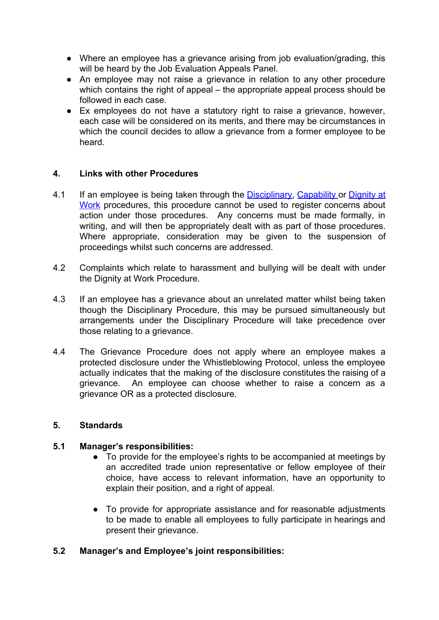- Where an employee has a grievance arising from job evaluation/grading, this will be heard by the Job Evaluation Appeals Panel.
- An employee may not raise a grievance in relation to any other procedure which contains the right of appeal – the appropriate appeal process should be followed in each case.
- Ex employees do not have a statutory right to raise a grievance, however, each case will be considered on its merits, and there may be circumstances in which the council decides to allow a grievance from a former employee to be heard.

# **4. Links with other Procedures**

- 4.1 If an employee is being taken through the **Disciplinary, Capability or Dignity at** Work procedures, this procedure cannot be used to register concerns about action under those procedures. Any concerns must be made formally, in writing, and will then be appropriately dealt with as part of those procedures. Where appropriate, consideration may be given to the suspension of proceedings whilst such concerns are addressed.
- 4.2 Complaints which relate to harassment and bullying will be dealt with under the Dignity at Work Procedure.
- 4.3 If an employee has a grievance about an unrelated matter whilst being taken though the Disciplinary Procedure, this may be pursued simultaneously but arrangements under the Disciplinary Procedure will take precedence over those relating to a grievance.
- 4.4 The Grievance Procedure does not apply where an employee makes a protected disclosure under the Whistleblowing Protocol, unless the employee actually indicates that the making of the disclosure constitutes the raising of a grievance. An employee can choose whether to raise a concern as a grievance OR as a protected disclosure.

#### **5. Standards**

#### **5.1 Manager's responsibilities:**

- To provide for the employee's rights to be accompanied at meetings by an accredited trade union representative or fellow employee of their choice, have access to relevant information, have an opportunity to explain their position, and a right of appeal.
- To provide for appropriate assistance and for reasonable adjustments to be made to enable all employees to fully participate in hearings and present their grievance.

# **5.2 Manager's and Employee's joint responsibilities:**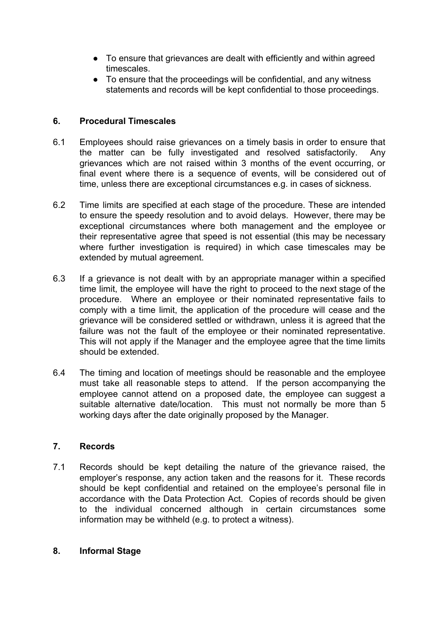- To ensure that grievances are dealt with efficiently and within agreed timescales.
- To ensure that the proceedings will be confidential, and any witness statements and records will be kept confidential to those proceedings.

# **6. Procedural Timescales**

- 6.1 Employees should raise grievances on a timely basis in order to ensure that the matter can be fully investigated and resolved satisfactorily. Any grievances which are not raised within 3 months of the event occurring, or final event where there is a sequence of events, will be considered out of time, unless there are exceptional circumstances e.g. in cases of sickness.
- 6.2 Time limits are specified at each stage of the procedure. These are intended to ensure the speedy resolution and to avoid delays. However, there may be exceptional circumstances where both management and the employee or their representative agree that speed is not essential (this may be necessary where further investigation is required) in which case timescales may be extended by mutual agreement.
- 6.3 If a grievance is not dealt with by an appropriate manager within a specified time limit, the employee will have the right to proceed to the next stage of the procedure. Where an employee or their nominated representative fails to comply with a time limit, the application of the procedure will cease and the grievance will be considered settled or withdrawn, unless it is agreed that the failure was not the fault of the employee or their nominated representative. This will not apply if the Manager and the employee agree that the time limits should be extended.
- 6.4 The timing and location of meetings should be reasonable and the employee must take all reasonable steps to attend. If the person accompanying the employee cannot attend on a proposed date, the employee can suggest a suitable alternative date/location. This must not normally be more than 5 working days after the date originally proposed by the Manager.

# **7. Records**

7.1 Records should be kept detailing the nature of the grievance raised, the employer's response, any action taken and the reasons for it. These records should be kept confidential and retained on the employee's personal file in accordance with the Data Protection Act. Copies of records should be given to the individual concerned although in certain circumstances some information may be withheld (e.g. to protect a witness).

# **8. Informal Stage**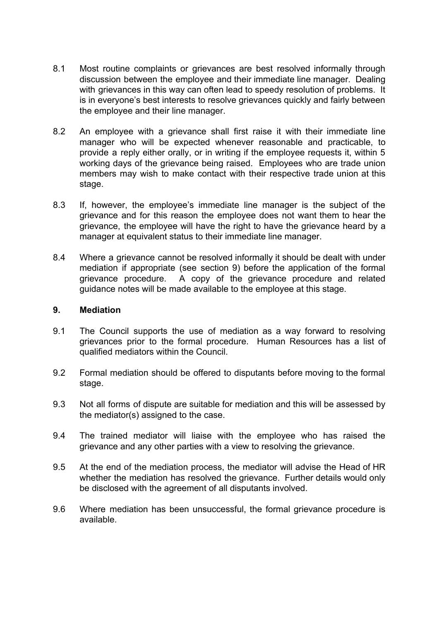- 8.1 Most routine complaints or grievances are best resolved informally through discussion between the employee and their immediate line manager. Dealing with grievances in this way can often lead to speedy resolution of problems. It is in everyone's best interests to resolve grievances quickly and fairly between the employee and their line manager.
- 8.2 An employee with a grievance shall first raise it with their immediate line manager who will be expected whenever reasonable and practicable, to provide a reply either orally, or in writing if the employee requests it, within 5 working days of the grievance being raised. Employees who are trade union members may wish to make contact with their respective trade union at this stage.
- 8.3 If, however, the employee's immediate line manager is the subject of the grievance and for this reason the employee does not want them to hear the grievance, the employee will have the right to have the grievance heard by a manager at equivalent status to their immediate line manager.
- 8.4 Where a grievance cannot be resolved informally it should be dealt with under mediation if appropriate (see section 9) before the application of the formal grievance procedure. A copy of the grievance procedure and related guidance notes will be made available to the employee at this stage.

#### **9. Mediation**

- 9.1 The Council supports the use of mediation as a way forward to resolving grievances prior to the formal procedure. Human Resources has a list of qualified mediators within the Council.
- 9.2 Formal mediation should be offered to disputants before moving to the formal stage.
- 9.3 Not all forms of dispute are suitable for mediation and this will be assessed by the mediator(s) assigned to the case.
- 9.4 The trained mediator will liaise with the employee who has raised the grievance and any other parties with a view to resolving the grievance.
- 9.5 At the end of the mediation process, the mediator will advise the Head of HR whether the mediation has resolved the grievance. Further details would only be disclosed with the agreement of all disputants involved.
- 9.6 Where mediation has been unsuccessful, the formal grievance procedure is available.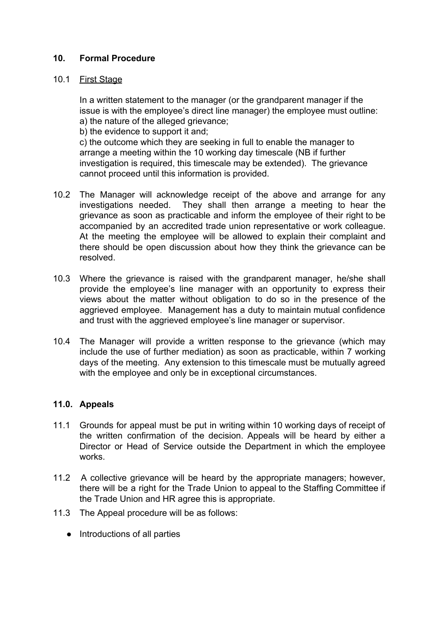## **10. Formal Procedure**

#### 10.1 First Stage

In a written statement to the manager (or the grandparent manager if the issue is with the employee's direct line manager) the employee must outline: a) the nature of the alleged grievance;

b) the evidence to support it and;

c) the outcome which they are seeking in full to enable the manager to arrange a meeting within the 10 working day timescale (NB if further investigation is required, this timescale may be extended). The grievance cannot proceed until this information is provided.

- 10.2 The Manager will acknowledge receipt of the above and arrange for any investigations needed. They shall then arrange a meeting to hear the grievance as soon as practicable and inform the employee of their right to be accompanied by an accredited trade union representative or work colleague. At the meeting the employee will be allowed to explain their complaint and there should be open discussion about how they think the grievance can be resolved.
- 10.3 Where the grievance is raised with the grandparent manager, he/she shall provide the employee's line manager with an opportunity to express their views about the matter without obligation to do so in the presence of the aggrieved employee. Management has a duty to maintain mutual confidence and trust with the aggrieved employee's line manager or supervisor.
- 10.4 The Manager will provide a written response to the grievance (which may include the use of further mediation) as soon as practicable, within 7 working days of the meeting. Any extension to this timescale must be mutually agreed with the employee and only be in exceptional circumstances.

#### **11.0. Appeals**

- 11.1 Grounds for appeal must be put in writing within 10 working days of receipt of the written confirmation of the decision. Appeals will be heard by either a Director or Head of Service outside the Department in which the employee works.
- 11.2 A collective grievance will be heard by the appropriate managers; however, there will be a right for the Trade Union to appeal to the Staffing Committee if the Trade Union and HR agree this is appropriate.
- 11.3 The Appeal procedure will be as follows:
	- Introductions of all parties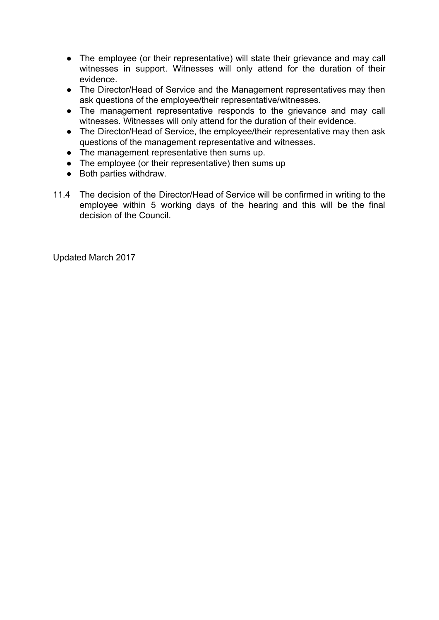- The employee (or their representative) will state their grievance and may call witnesses in support. Witnesses will only attend for the duration of their evidence.
- The Director/Head of Service and the Management representatives may then ask questions of the employee/their representative/witnesses.
- The management representative responds to the grievance and may call witnesses. Witnesses will only attend for the duration of their evidence.
- The Director/Head of Service, the employee/their representative may then ask questions of the management representative and witnesses.
- The management representative then sums up.
- The employee (or their representative) then sums up
- Both parties withdraw.
- 11.4 The decision of the Director/Head of Service will be confirmed in writing to the employee within 5 working days of the hearing and this will be the final decision of the Council.

Updated March 2017